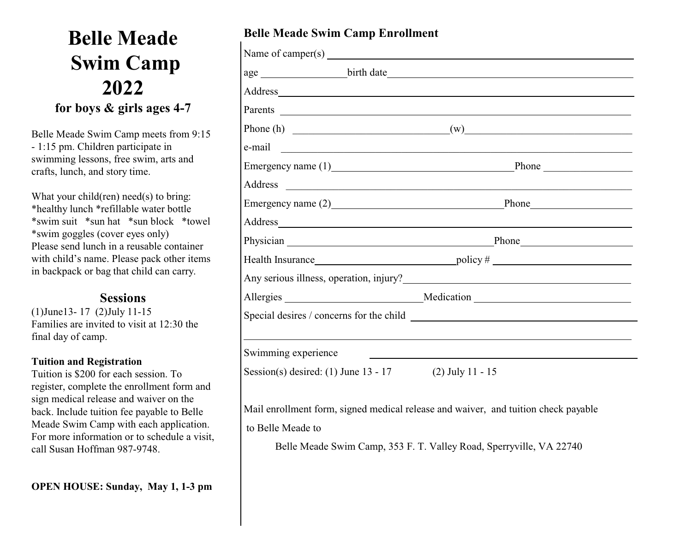# **Belle Meade Swim Camp 2022 for boys & girls ages 4-7**

Belle Meade Swim Camp meets from 9:15 - 1:15 pm. Children participate in swimming lessons, free swim, arts and crafts, lunch, and story time.

What your child(ren) need(s) to bring: \*healthy lunch \*refillable water bottle \*swim suit \*sun hat \*sun block \*towel \*swim goggles (cover eyes only) Please send lunch in a reusable container with child's name. Please pack other items in backpack or bag that child can carry.

## **Sessions**

(1)June13- 17 (2)July 11-15 Families are invited to visit at 12:30 the final day of camp.

#### **Tuition and Registration**

Tuition is \$200 for each session. To register, complete the enrollment form and sign medical release and waiver on the back. Include tuition fee payable to Belle Meade Swim Camp with each application. For more information or to schedule a visit, call Susan Hoffman 987-9748.

## **Belle Meade Swim Camp Enrollment**

| Address and the contract of the contract of the contract of the contract of the contract of the contract of the contract of the contract of the contract of the contract of the contract of the contract of the contract of th |                                                                                                                                                                                                                                |
|--------------------------------------------------------------------------------------------------------------------------------------------------------------------------------------------------------------------------------|--------------------------------------------------------------------------------------------------------------------------------------------------------------------------------------------------------------------------------|
|                                                                                                                                                                                                                                |                                                                                                                                                                                                                                |
|                                                                                                                                                                                                                                | Phone (h) $(w)$ (w)                                                                                                                                                                                                            |
|                                                                                                                                                                                                                                |                                                                                                                                                                                                                                |
|                                                                                                                                                                                                                                | Emergency name (1) Phone                                                                                                                                                                                                       |
|                                                                                                                                                                                                                                |                                                                                                                                                                                                                                |
|                                                                                                                                                                                                                                | Emergency name (2) Phone Phone                                                                                                                                                                                                 |
|                                                                                                                                                                                                                                | Address and the contract of the contract of the contract of the contract of the contract of the contract of the contract of the contract of the contract of the contract of the contract of the contract of the contract of th |
|                                                                                                                                                                                                                                | Physician Phone Phone Phone Phone Phone Phone Phone Phone Phone Phone Phone Phone Phone Phone Phone Phone Phone Phone Phone Phone Phone Phone Phone Phone Phone Phone Phone Phone Phone Phone Phone Phone Phone Phone Phone Ph |
|                                                                                                                                                                                                                                | Health Insurance policy #                                                                                                                                                                                                      |
|                                                                                                                                                                                                                                | Any serious illness, operation, injury?<br><u>Conservation</u>                                                                                                                                                                 |
|                                                                                                                                                                                                                                |                                                                                                                                                                                                                                |
|                                                                                                                                                                                                                                |                                                                                                                                                                                                                                |
|                                                                                                                                                                                                                                |                                                                                                                                                                                                                                |
| Swimming experience                                                                                                                                                                                                            |                                                                                                                                                                                                                                |
| Session(s) desired: $(1)$ June 13 - 17                                                                                                                                                                                         | $(2)$ July 11 - 15                                                                                                                                                                                                             |

Mail enrollment form, signed medical release and waiver, and tuition check payable to Belle Meade to

Belle Meade Swim Camp, 353 F. T. Valley Road, Sperryville, VA 22740